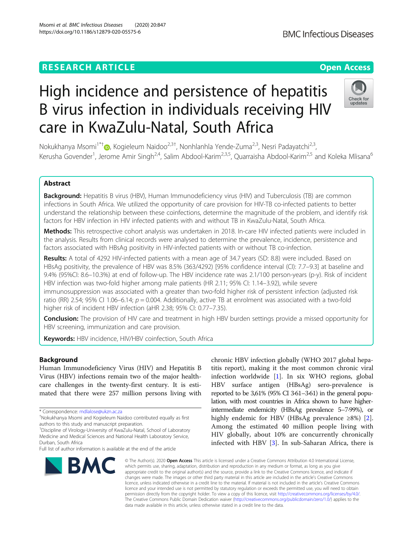## **RESEARCH ARTICLE Example 2014 12:30 The Contract of Contract ACCESS**

# High incidence and persistence of hepatitis B virus infection in individuals receiving HIV care in KwaZulu-Natal, South Africa

Nokukhanya Msomi<sup>1\*†</sup>®[,](http://orcid.org/0000-0002-0610-6100) Kogieleum Naidoo<sup>2,3†</sup>, Nonhlanhla Yende-Zuma<sup>2,3</sup>, Nesri Padayatchi<sup>2,3</sup>, Kerusha Govender<sup>1</sup>, Jerome Amir Singh<sup>2,4</sup>, Salim Abdool-Karim<sup>2,3,5</sup>, Quarraisha Abdool-Karim<sup>2,5</sup> and Koleka Mlisana<sup>6</sup>

### Abstract

Background: Hepatitis B virus (HBV), Human Immunodeficiency virus (HIV) and Tuberculosis (TB) are common infections in South Africa. We utilized the opportunity of care provision for HIV-TB co-infected patients to better understand the relationship between these coinfections, determine the magnitude of the problem, and identify risk factors for HBV infection in HIV infected patients with and without TB in KwaZulu-Natal, South Africa.

Methods: This retrospective cohort analysis was undertaken in 2018. In-care HIV infected patients were included in the analysis. Results from clinical records were analysed to determine the prevalence, incidence, persistence and factors associated with HBsAg positivity in HIV-infected patients with or without TB co-infection.

Results: A total of 4292 HIV-infected patients with a mean age of 34.7 years (SD: 8.8) were included. Based on HBsAg positivity, the prevalence of HBV was 8.5% (363/4292) [95% confidence interval (CI): 7.7–9.3] at baseline and 9.4% (95%CI: 8.6–10.3%) at end of follow-up. The HBV incidence rate was 2.1/100 person-years (p-y). Risk of incident HBV infection was two-fold higher among male patients (HR 2.11; 95% CI: 1.14–3.92), while severe immunosuppression was associated with a greater than two-fold higher risk of persistent infection (adjusted risk ratio (RR) 2.54; 95% CI 1.06–6.14;  $p = 0.004$ . Additionally, active TB at enrolment was associated with a two-fold higher risk of incident HBV infection (aHR 2.38; 95% CI: 0.77–7.35).

**Conclusion:** The provision of HIV care and treatment in high HBV burden settings provide a missed opportunity for HBV screening, immunization and care provision.

Keywords: HBV incidence, HIV/HBV coinfection, South Africa

#### Background

Human Immunodeficiency Virus (HIV) and Hepatitis B Virus (HBV) infections remain two of the major healthcare challenges in the twenty-first century. It is estimated that there were 257 million persons living with

<sup>1</sup> Discipline of Virology-University of KwaZulu-Natal, School of Laboratory Medicine and Medical Sciences and National Health Laboratory Service, Durban, South Africa

© The Author(s), 2020 **Open Access** This article is licensed under a Creative Commons Attribution 4.0 International License, which permits use, sharing, adaptation, distribution and reproduction in any medium or format, as long as you give appropriate credit to the original author(s) and the source, provide a link to the Creative Commons licence, and indicate if changes were made. The images or other third party material in this article are included in the article's Creative Commons licence, unless indicated otherwise in a credit line to the material. If material is not included in the article's Creative Commons licence and your intended use is not permitted by statutory regulation or exceeds the permitted use, you will need to obtain permission directly from the copyright holder. To view a copy of this licence, visit [http://creativecommons.org/licenses/by/4.0/.](http://creativecommons.org/licenses/by/4.0/) The Creative Commons Public Domain Dedication waiver [\(http://creativecommons.org/publicdomain/zero/1.0/](http://creativecommons.org/publicdomain/zero/1.0/)) applies to the data made available in this article, unless otherwise stated in a credit line to the data.

chronic HBV infection globally (WHO 2017 global hepatitis report), making it the most common chronic viral infection worldwide [[1\]](#page-7-0). In six WHO regions, global HBV surface antigen (HBsAg) sero-prevalence is reported to be 3,61% (95% CI 3-61-3-61) in the general population, with most countries in Africa shown to have higherintermediate endemicity (HBsAg prevalence 5–7·99%), or highly endemic for HBV (HBsAg prevalence ≥8%) [\[2](#page-7-0)]. Among the estimated 40 million people living with HIV globally, about 10% are concurrently chronically infected with HBV [[3\]](#page-8-0). In sub-Saharan Africa, there is

**BMC Infectious Diseases** 



<sup>\*</sup> Correspondence: [mdlalose@ukzn.ac.za](mailto:mdlalose@ukzn.ac.za) †

Nokukhanya Msomi and Kogieleum Naidoo contributed equally as first authors to this study and manuscript preparation.

Full list of author information is available at the end of the article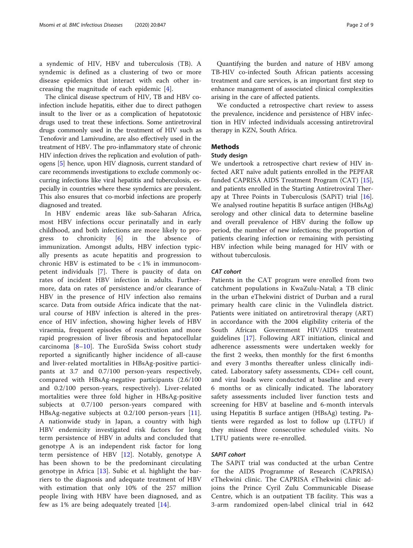a syndemic of HIV, HBV and tuberculosis (TB). A syndemic is defined as a clustering of two or more disease epidemics that interact with each other increasing the magnitude of each epidemic [[4\]](#page-8-0).

The clinical disease spectrum of HIV, TB and HBV coinfection include hepatitis, either due to direct pathogen insult to the liver or as a complication of hepatotoxic drugs used to treat these infections. Some antiretroviral drugs commonly used in the treatment of HIV such as Tenofovir and Lamivudine, are also effectively used in the treatment of HBV. The pro-inflammatory state of chronic HIV infection drives the replication and evolution of pathogens [\[5\]](#page-8-0) hence, upon HIV diagnosis, current standard of care recommends investigations to exclude commonly occurring infections like viral hepatitis and tuberculosis, especially in countries where these syndemics are prevalent. This also ensures that co-morbid infections are properly diagnosed and treated.

In HBV endemic areas like sub-Saharan Africa, most HBV infections occur perinatally and in early childhood, and both infections are more likely to progress to chronicity  $[6]$  $[6]$  in the absence of immunization. Amongst adults, HBV infection typically presents as acute hepatitis and progression to chronic HBV is estimated to be < 1% in immunocompetent individuals [[7](#page-8-0)]. There is paucity of data on rates of incident HBV infection in adults. Furthermore, data on rates of persistence and/or clearance of HBV in the presence of HIV infection also remains scarce. Data from outside Africa indicate that the natural course of HBV infection is altered in the presence of HIV infection, showing higher levels of HBV viraemia, frequent episodes of reactivation and more rapid progression of liver fibrosis and hepatocellular carcinoma [\[8](#page-8-0)–[10](#page-8-0)]. The EuroSida Swiss cohort study reported a significantly higher incidence of all-cause and liver-related mortalities in HBsAg-positive participants at 3.7 and 0.7/100 person-years respectively, compared with HBsAg-negative participants (2.6/100 and 0.2/100 person-years, respectively). Liver-related mortalities were three fold higher in HBsAg-positive subjects at 0.7/100 person-years compared with HBsAg-negative subjects at 0.2/100 person-years [\[11](#page-8-0)]. A nationwide study in Japan, a country with high HBV endemicity investigated risk factors for long term persistence of HBV in adults and concluded that genotype A is an independent risk factor for long term persistence of HBV [[12\]](#page-8-0). Notably, genotype A has been shown to be the predominant circulating genotype in Africa [\[13](#page-8-0)]. Subic et al. highlight the barriers to the diagnosis and adequate treatment of HBV with estimation that only 10% of the 257 million people living with HBV have been diagnosed, and as few as 1% are being adequately treated [[14\]](#page-8-0).

Quantifying the burden and nature of HBV among TB-HIV co-infected South African patients accessing treatment and care services, is an important first step to enhance management of associated clinical complexities arising in the care of affected patients.

We conducted a retrospective chart review to assess the prevalence, incidence and persistence of HBV infection in HIV infected individuals accessing antiretroviral therapy in KZN, South Africa.

#### **Methods**

#### Study design

We undertook a retrospective chart review of HIV infected ART naïve adult patients enrolled in the PEPFAR funded CAPRISA AIDS Treatment Program (CAT) [\[15](#page-8-0)], and patients enrolled in the Starting Antiretroviral Therapy at Three Points in Tuberculosis (SAPiT) trial [\[16](#page-8-0)]. We analysed routine hepatitis B surface antigen (HBsAg) serology and other clinical data to determine baseline and overall prevalence of HBV during the follow up period, the number of new infections; the proportion of patients clearing infection or remaining with persisting HBV infection while being managed for HIV with or without tuberculosis.

#### CAT cohort

Patients in the CAT program were enrolled from two catchment populations in KwaZulu-Natal; a TB clinic in the urban eThekwini district of Durban and a rural primary health care clinic in the Vulindlela district. Patients were initiated on antiretroviral therapy (ART) in accordance with the 2004 eligibility criteria of the South African Government HIV/AIDS treatment guidelines [\[17](#page-8-0)]. Following ART initiation, clinical and adherence assessments were undertaken weekly for the first 2 weeks, then monthly for the first 6 months and every 3 months thereafter unless clinically indicated. Laboratory safety assessments, CD4+ cell count, and viral loads were conducted at baseline and every 6 months or as clinically indicated. The laboratory safety assessments included liver function tests and screening for HBV at baseline and 6-month intervals using Hepatitis B surface antigen (HBsAg) testing. Patients were regarded as lost to follow up (LTFU) if they missed three consecutive scheduled visits. No LTFU patients were re-enrolled.

#### SAPiT cohort

The SAPiT trial was conducted at the urban Centre for the AIDS Programme of Research (CAPRISA) eThekwini clinic. The CAPRISA eThekwini clinic adjoins the Prince Cyril Zulu Communicable Disease Centre, which is an outpatient TB facility. This was a 3-arm randomized open-label clinical trial in 642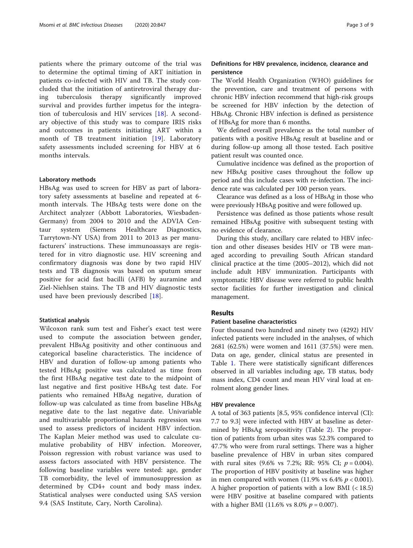patients where the primary outcome of the trial was to determine the optimal timing of ART initiation in patients co-infected with HIV and TB. The study concluded that the initiation of antiretroviral therapy during tuberculosis therapy significantly improved survival and provides further impetus for the integration of tuberculosis and HIV services [[18\]](#page-8-0). A secondary objective of this study was to compare IRIS risks and outcomes in patients initiating ART within a month of TB treatment initiation [[19\]](#page-8-0). Laboratory safety assessments included screening for HBV at 6 months intervals.

#### Laboratory methods

HBsAg was used to screen for HBV as part of laboratory safety assessments at baseline and repeated at 6 month intervals. The HBsAg tests were done on the Architect analyzer (Abbott Laboratories, Wiesbaden-Germany) from 2004 to 2010 and the ADVIA Centaur system (Siemens Healthcare Diagnostics, Tarrytown-NY USA) from 2011 to 2013 as per manufacturers' instructions. These immunoassays are registered for in vitro diagnostic use. HIV screening and confirmatory diagnosis was done by two rapid HIV tests and TB diagnosis was based on sputum smear positive for acid fast bacilli (AFB) by auramine and Ziel-Niehlsen stains. The TB and HIV diagnostic tests used have been previously described [\[18](#page-8-0)].

#### Statistical analysis

Wilcoxon rank sum test and Fisher's exact test were used to compute the association between gender, prevalent HBsAg positivity and other continuous and categorical baseline characteristics. The incidence of HBV and duration of follow-up among patients who tested HBsAg positive was calculated as time from the first HBsAg negative test date to the midpoint of last negative and first positive HBsAg test date. For patients who remained HBsAg negative, duration of follow-up was calculated as time from baseline HBsAg negative date to the last negative date. Univariable and multivariable proportional hazards regression was used to assess predictors of incident HBV infection. The Kaplan Meier method was used to calculate cumulative probability of HBV infection. Moreover, Poisson regression with robust variance was used to assess factors associated with HBV persistence. The following baseline variables were tested: age, gender TB comorbidity, the level of immunosuppression as determined by CD4+ count and body mass index. Statistical analyses were conducted using SAS version 9.4 (SAS Institute, Cary, North Carolina).

#### Definitions for HBV prevalence, incidence, clearance and persistence

The World Health Organization (WHO) guidelines for the prevention, care and treatment of persons with chronic HBV infection recommend that high-risk groups be screened for HBV infection by the detection of HBsAg. Chronic HBV infection is defined as persistence of HBsAg for more than 6 months.

We defined overall prevalence as the total number of patients with a positive HBsAg result at baseline and or during follow-up among all those tested. Each positive patient result was counted once.

Cumulative incidence was defined as the proportion of new HBsAg positive cases throughout the follow up period and this include cases with re-infection. The incidence rate was calculated per 100 person years.

Clearance was defined as a loss of HBsAg in those who were previously HBsAg positive and were followed up.

Persistence was defined as those patients whose result remained HBsAg positive with subsequent testing with no evidence of clearance.

During this study, ancillary care related to HBV infection and other diseases besides HIV or TB were managed according to prevailing South African standard clinical practice at the time (2005–2012), which did not include adult HBV immunization. Participants with symptomatic HBV disease were referred to public health sector facilities for further investigation and clinical management.

#### Results

#### Patient baseline characteristics

Four thousand two hundred and ninety two (4292) HIV infected patients were included in the analyses, of which 2681 (62.5%) were women and 1611 (37.5%) were men. Data on age, gender, clinical status are presented in Table [1.](#page-3-0) There were statistically significant differences observed in all variables including age, TB status, body mass index, CD4 count and mean HIV viral load at enrolment along gender lines.

#### HBV prevalence

A total of 363 patients [8.5, 95% confidence interval (CI): 7.7 to 9.3] were infected with HBV at baseline as determined by HBsAg seropositivity (Table [2](#page-3-0)). The proportion of patients from urban sites was 52.3% compared to 47.7% who were from rural settings. There was a higher baseline prevalence of HBV in urban sites compared with rural sites (9.6% vs 7.2%; RR: 95% CI;  $p = 0.004$ ). The proportion of HBV positivity at baseline was higher in men compared with women (11.9% vs 6.4%  $p < 0.001$ ). A higher proportion of patients with a low BMI (< 18.5) were HBV positive at baseline compared with patients with a higher BMI (11.6% vs 8.0%  $p = 0.007$ ).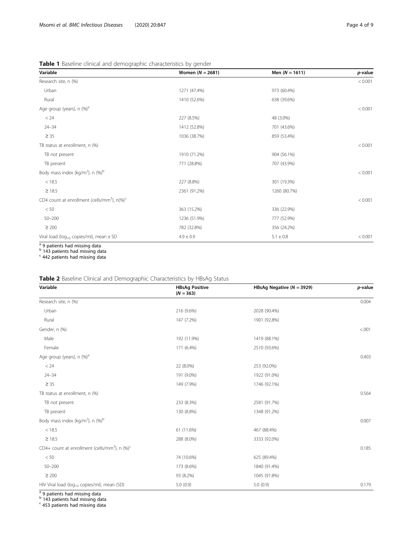<span id="page-3-0"></span>

|  |  | Table 1 Baseline clinical and demographic characteristics by gender |  |
|--|--|---------------------------------------------------------------------|--|
|  |  |                                                                     |  |

| Variable                                                             | Women $(N = 2681)$ | Men $(N = 1611)$ | p-value |
|----------------------------------------------------------------------|--------------------|------------------|---------|
| Research site, n (%)                                                 |                    |                  | < 0.001 |
| Urban                                                                | 1271 (47.4%)       | 973 (60.4%)      |         |
| Rural                                                                | 1410 (52.6%)       | 638 (39.6%)      |         |
| Age group (years), n (%) <sup>a</sup>                                |                    |                  | < 0.001 |
| < 24                                                                 | 227 (8.5%)         | 48 (3.0%)        |         |
| $24 - 34$                                                            | 1412 (52.8%)       | 701 (43.6%)      |         |
| $\geq$ 35                                                            | 1036 (38.7%)       | 859 (53.4%)      |         |
| TB status at enrollment, n (%)                                       |                    |                  | < 0.001 |
| TB not present                                                       | 1910 (71.2%)       | 904 (56.1%)      |         |
| TB present                                                           | 771 (28.8%)        | 707 (43.9%)      |         |
| Body mass index (kg/m <sup>2</sup> ), n (%) <sup>b</sup>             |                    |                  | < 0.001 |
| < 18.5                                                               | 227 (8.8%)         | 301 (19.3%)      |         |
| $\geq$ 18.5                                                          | 2361 (91.2%)       | 1260 (80.7%)     |         |
| CD4 count at enrollment (cells/mm <sup>3</sup> ), $n\%$ <sup>c</sup> |                    |                  | < 0.001 |
| < 50                                                                 | 363 (15.2%)        | 336 (22.9%)      |         |
| $50 - 200$                                                           | 1236 (51.9%)       | 777 (52.9%)      |         |
| $\geq 200$                                                           | 782 (32.8%)        | 356 (24.2%)      |         |
| Viral load ( $log_{10}$ copies/ml), mean $\pm$ SD                    | $4.9 \pm 0.9$      | $5.1 \pm 0.8$    | < 0.001 |

<sup>a</sup> 9 patients had missing data

<sup>b</sup> 143 patients had missing data<br><sup>c</sup> 442 patients had missing data

|  |  |  | Table 2 Baseline Clinical and Demographic Characteristics by HBsAg Status |  |
|--|--|--|---------------------------------------------------------------------------|--|
|  |  |  |                                                                           |  |

| Variable                                                              | <b>HBsAg Positive</b><br>$(N = 363)$ | HBsAg Negative ( $N = 3929$ ) | p-value |
|-----------------------------------------------------------------------|--------------------------------------|-------------------------------|---------|
| Research site, n (%)                                                  |                                      |                               | 0.004   |
| Urban                                                                 | 216 (9.6%)                           | 2028 (90.4%)                  |         |
| Rural                                                                 | 147 (7.2%)                           | 1901 (92.8%)                  |         |
| Gender, n (%)                                                         |                                      |                               | < .001  |
| Male                                                                  | 192 (11.9%)                          | 1419 (88.1%)                  |         |
| Female                                                                | 171 (6.4%)                           | 2510 (93.6%)                  |         |
| Age group (years), n (%) <sup>a</sup>                                 |                                      |                               | 0.403   |
| < 24                                                                  | 22 (8.0%)                            | 253 (92.0%)                   |         |
| $24 - 34$                                                             | 191 (9.0%)                           | 1922 (91.0%)                  |         |
| $\geq$ 35                                                             | 149 (7.9%)                           | 1746 (92.1%)                  |         |
| TB status at enrollment, n (%)                                        |                                      |                               | 0.564   |
| TB not present                                                        | 233 (8.3%)                           | 2581 (91.7%)                  |         |
| TB present                                                            | 130 (8.8%)                           | 1348 (91.2%)                  |         |
| Body mass index (kg/m <sup>2</sup> ), n (%) <sup>b</sup>              |                                      |                               | 0.007   |
| < 18.5                                                                | 61 (11.6%)                           | 467 (88.4%)                   |         |
| $\geq$ 18.5                                                           | 288 (8.0%)                           | 3333 (92.0%)                  |         |
| CD4+ count at enrollment (cells/mm <sup>3</sup> ), n (%) <sup>c</sup> |                                      |                               | 0.185   |
| $< 50\,$                                                              | 74 (10.6%)                           | 625 (89.4%)                   |         |
| $50 - 200$                                                            | 173 (8.6%)                           | 1840 (91.4%)                  |         |
| $\geq 200$                                                            | 93 (8.2%)                            | 1045 (91.8%)                  |         |
| HIV Viral load (log <sub>10</sub> copies/ml), mean (SD)               | 5.0(0.9)                             | 5.0(0.9)                      | 0.179   |

<sup>a</sup> 9 patients had missing data

<sup>b</sup> 143 patients had missing data<br><sup>c</sup> 453 patients had missing data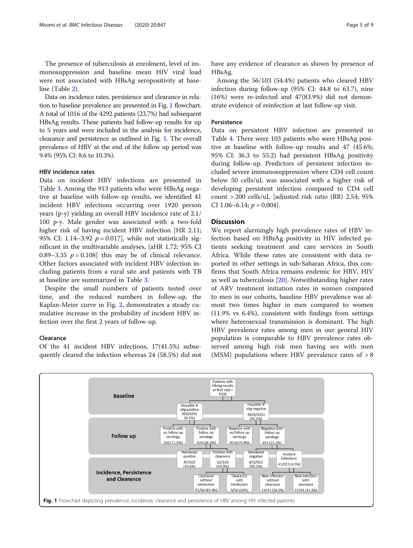Data on incidence rates, persistence and clearance in relation to baseline prevalence are presented in Fig. 1 flowchart. A total of 1016 of the 4292 patients (23.7%) had subsequent HBsAg results. These patients had follow-up results for up to 5 years and were included in the analysis for incidence, clearance and persistence as outlined in Fig. 1. The overall prevalence of HBV at the end of the follow up period was 9.4% (95% CI: 8.6 to 10.3%).

#### HBV incidence rates

Data on incident HBV infections are presented in Table [3](#page-5-0). Among the 913 patients who were HBsAg negative at baseline with follow-up results, we identified 41 incident HBV infections occurring over 1920 person years (p-y) yielding an overall HBV incidence rate of 2.1/ 100 p-y. Male gender was associated with a two-fold higher risk of having incident HBV infection [HR 2.11; 95% CI: 1.14–3.92  $p = 0.017$ , while not statistically significant in the multivariable analyses, [aHR 1.72; 95% CI 0.89–3.35  $p = 0.108$  this may be of clinical relevance. Other factors associated with incident HBV infection including patients from a rural site and patients with TB at baseline are summarized in Table [3.](#page-5-0)

Despite the small numbers of patients tested over time, and the reduced numbers in follow-up, the Kaplan-Meier curve in Fig. [2,](#page-5-0) demonstrates a steady cumulative increase in the probability of incident HBV infection over the first 2 years of follow-up.

#### Clearance

Of the 41 incident HBV infections, 17(41.5%) subsequently cleared the infection whereas 24 (58.5%) did not

have any evidence of clearance as shown by presence of HBsAg.

Among the 56/103 (54.4%) patients who cleared HBV infection during follow-up (95% CI: 44.8 to 63.7), nine (16%) were re-infected and 47(83.9%) did not demonstrate evidence of reinfection at last follow-up visit.

#### Persistence

Data on persistent HBV infection are presented in Table [4.](#page-6-0) There were 103 patients who were HBsAg positive at baseline with follow-up results and 47 (45.6%; 95% CI: 36.3 to 55.2) had persistent HBsAg positivity during follow-up. Predictors of persistent infection included severe immunosuppression where CD4 cell count below 50 cells/uL was associated with a higher risk of developing persistent infection compared to CD4 cell count > 200 cells/uL [adjusted risk ratio (RR) 2.54; 95% CI 1.06–6.14;  $p = 0.004$ .

#### Discussion

We report alarmingly high prevalence rates of HBV infection based on HBsAg positivity in HIV infected patients seeking treatment and care services in South Africa. While these rates are consistent with data reported in other settings in sub-Saharan Africa, this confirms that South Africa remains endemic for HBV, HIV as well as tuberculosis [\[20](#page-8-0)]. Notwithstanding higher rates of ARV treatment initiation rates in women compared to men in our cohorts, baseline HBV prevalence was almost two times higher in men compared to women (11.9% vs 6.4%), consistent with findings from settings where heterosexual transmission is dominant. The high HBV prevalence rates among men in our general HIV population is comparable to HBV prevalence rates observed among high risk men having sex with men (MSM) populations where HBV prevalence rates of  $> 8$ 

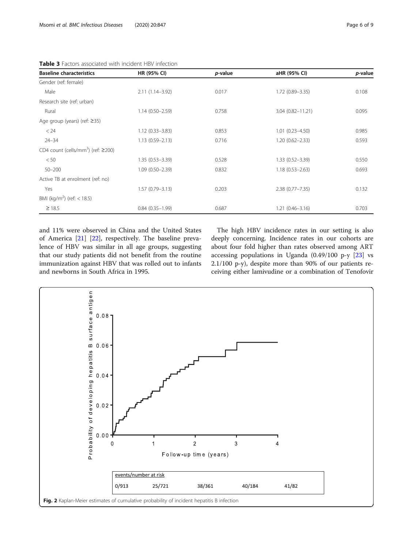<span id="page-5-0"></span>Table 3 Factors associated with incident HBV infection

| <b>Baseline characteristics</b>                      | HR (95% CI)         | <i>p</i> -value | aHR (95% CI)         | p-value |
|------------------------------------------------------|---------------------|-----------------|----------------------|---------|
| Gender (ref: female)                                 |                     |                 |                      |         |
| Male                                                 | $2.11(1.14 - 3.92)$ | 0.017           | $1.72(0.89 - 3.35)$  | 0.108   |
| Research site (ref: urban)                           |                     |                 |                      |         |
| Rural                                                | $1.14(0.50 - 2.59)$ | 0.758           | $3.04(0.82 - 11.21)$ | 0.095   |
| Age group (years) (ref: $\geq$ 35)                   |                     |                 |                      |         |
| < 24                                                 | $1.12(0.33 - 3.83)$ | 0.853           | $1.01(0.23 - 4.50)$  | 0.985   |
| $24 - 34$                                            | $1.13(0.59 - 2.13)$ | 0.716           | $1.20(0.62 - 2.33)$  | 0.593   |
| CD4 count (cells/mm <sup>3</sup> ) (ref: $\geq$ 200) |                     |                 |                      |         |
| < 50                                                 | $1.35(0.53 - 3.39)$ | 0.528           | $1.33(0.52 - 3.39)$  | 0.550   |
| $50 - 200$                                           | $1.09(0.50 - 2.39)$ | 0.832           | $1.18(0.53 - 2.63)$  | 0.693   |
| Active TB at enrolment (ref: no)                     |                     |                 |                      |         |
| Yes                                                  | $1.57(0.79 - 3.13)$ | 0.203           | $2.38(0.77 - 7.35)$  | 0.132   |
| BMI (kg/m <sup>2</sup> ) (ref: < 18.5)               |                     |                 |                      |         |
| $\geq 18.5$                                          | $0.84(0.35 - 1.99)$ | 0.687           | $1.21(0.46 - 3.16)$  | 0.703   |

and 11% were observed in China and the United States of America [[21\]](#page-8-0) [[22](#page-8-0)], respectively. The baseline prevalence of HBV was similar in all age groups, suggesting that our study patients did not benefit from the routine immunization against HBV that was rolled out to infants and newborns in South Africa in 1995.

The high HBV incidence rates in our setting is also deeply concerning. Incidence rates in our cohorts are about four fold higher than rates observed among ART accessing populations in Uganda (0.49/100 p-y [[23](#page-8-0)] vs 2.1/100 p-y), despite more than 90% of our patients receiving either lamivudine or a combination of Tenofovir

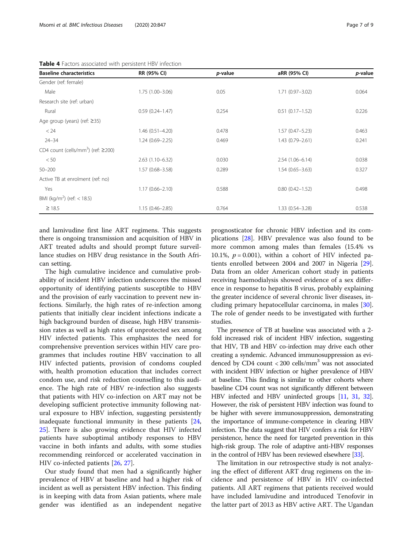<span id="page-6-0"></span>Table 4 Factors associated with persistent HBV infection

| <b>Baseline characteristics</b>                      | RR (95% CI)         | <i>p</i> -value | aRR (95% CI)        | p-value |
|------------------------------------------------------|---------------------|-----------------|---------------------|---------|
| Gender (ref: female)                                 |                     |                 |                     |         |
| Male                                                 | $1.75(1.00 - 3.06)$ | 0.05            | 1.71 (0.97-3.02)    | 0.064   |
| Research site (ref: urban)                           |                     |                 |                     |         |
| Rural                                                | $0.59(0.24 - 1.47)$ | 0.254           | $0.51(0.17 - 1.52)$ | 0.226   |
| Age group (years) (ref: $\geq$ 35)                   |                     |                 |                     |         |
| < 24                                                 | $1.46(0.51 - 4.20)$ | 0.478           | $1.57(0.47 - 5.23)$ | 0.463   |
| $24 - 34$                                            | $1.24(0.69 - 2.25)$ | 0.469           | $1.43(0.79 - 2.61)$ | 0.241   |
| CD4 count (cells/mm <sup>3</sup> ) (ref: $\geq$ 200) |                     |                 |                     |         |
| < 50                                                 | $2.63(1.10-6.32)$   | 0.030           | $2.54(1.06 - 6.14)$ | 0.038   |
| $50 - 200$                                           | $1.57(0.68 - 3.58)$ | 0.289           | $1.54(0.65 - 3.63)$ | 0.327   |
| Active TB at enrolment (ref: no)                     |                     |                 |                     |         |
| Yes                                                  | $1.17(0.66 - 2.10)$ | 0.588           | $0.80(0.42 - 1.52)$ | 0.498   |
| BMI (kg/m <sup>2</sup> ) (ref: < 18.5)               |                     |                 |                     |         |
| $\geq$ 18.5                                          | $1.15(0.46 - 2.85)$ | 0.764           | 1.33 (0.54-3.28)    | 0.538   |

and lamivudine first line ART regimens. This suggests there is ongoing transmission and acquisition of HBV in ART treated adults and should prompt future surveillance studies on HBV drug resistance in the South African setting.

The high cumulative incidence and cumulative probability of incident HBV infection underscores the missed opportunity of identifying patients susceptible to HBV and the provision of early vaccination to prevent new infections. Similarly, the high rates of re-infection among patients that initially clear incident infections indicate a high background burden of disease, high HBV transmission rates as well as high rates of unprotected sex among HIV infected patients. This emphasizes the need for comprehensive prevention services within HIV care programmes that includes routine HBV vaccination to all HIV infected patients, provision of condoms coupled with, health promotion education that includes correct condom use, and risk reduction counselling to this audience. The high rate of HBV re-infection also suggests that patients with HIV co-infection on ART may not be developing sufficient protective immunity following natural exposure to HBV infection, suggesting persistently inadequate functional immunity in these patients [[24](#page-8-0), [25\]](#page-8-0). There is also growing evidence that HIV infected patients have suboptimal antibody responses to HBV vaccine in both infants and adults, with some studies recommending reinforced or accelerated vaccination in HIV co-infected patients [[26,](#page-8-0) [27\]](#page-8-0).

Our study found that men had a significantly higher prevalence of HBV at baseline and had a higher risk of incident as well as persistent HBV infection. This finding is in keeping with data from Asian patients, where male gender was identified as an independent negative

prognosticator for chronic HBV infection and its complications [\[28\]](#page-8-0). HBV prevalence was also found to be more common among males than females (15.4% vs 10.1%,  $p = 0.001$ ), within a cohort of HIV infected patients enrolled between 2004 and 2007 in Nigeria [\[29](#page-8-0)]. Data from an older American cohort study in patients receiving haemodialysis showed evidence of a sex difference in response to hepatitis B virus, probably explaining the greater incidence of several chronic liver diseases, including primary hepatocellular carcinoma, in males [\[30](#page-8-0)]. The role of gender needs to be investigated with further studies.

The presence of TB at baseline was associated with a 2 fold increased risk of incident HBV infection, suggesting that HIV, TB and HBV co-infection may drive each other creating a syndemic. Advanced immunosuppression as evidenced by CD4 count  $<$  200 cells/mm<sup>3</sup> was not associated with incident HBV infection or higher prevalence of HBV at baseline. This finding is similar to other cohorts where baseline CD4 count was not significantly different between HBV infected and HBV uninfected groups [\[11](#page-8-0), [31,](#page-8-0) [32](#page-8-0)]. However, the risk of persistent HBV infection was found to be higher with severe immunosuppression, demonstrating the importance of immune-competence in clearing HBV infection. The data suggest that HIV confers a risk for HBV persistence, hence the need for targeted prevention in this high-risk group. The role of adaptive anti-HBV responses in the control of HBV has been reviewed elsewhere [[33](#page-8-0)].

The limitation in our retrospective study is not analyzing the effect of different ART drug regimens on the incidence and persistence of HBV in HIV co-infected patients. All ART regimens that patients received would have included lamivudine and introduced Tenofovir in the latter part of 2013 as HBV active ART. The Ugandan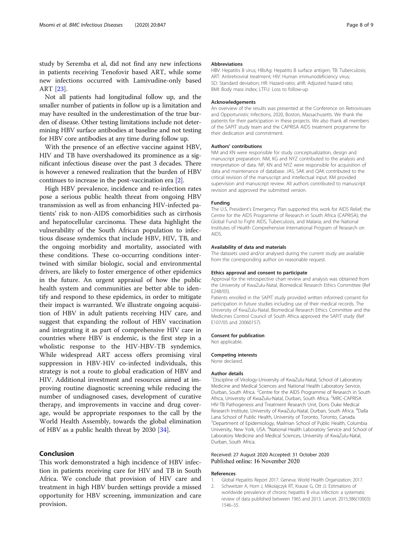<span id="page-7-0"></span>Not all patients had longitudinal follow up, and the smaller number of patients in follow up is a limitation and may have resulted in the underestimation of the true burden of disease. Other testing limitations include not determining HBV surface antibodies at baseline and not testing for HBV core antibodies at any time during follow up.

With the presence of an effective vaccine against HBV, HIV and TB have overshadowed its prominence as a significant infectious disease over the past 3 decades. There is however a renewed realization that the burden of HBV continues to increase in the post-vaccination era [2].

High HBV prevalence, incidence and re-infection rates pose a serious public health threat from ongoing HBV transmission as well as from enhancing HIV-infected patients' risk to non-AIDS comorbidities such as cirrhosis and hepatocellular carcinoma. These data highlight the vulnerability of the South African population to infectious disease syndemics that include HBV, HIV, TB, and the ongoing morbidity and mortality, associated with these conditions. These co-occurring conditions intertwined with similar biologic, social and environmental drivers, are likely to foster emergence of other epidemics in the future. An urgent appraisal of how the public health system and communities are better able to identify and respond to these epidemics, in order to mitigate their impact is warranted. We illustrate ongoing acquisition of HBV in adult patients receiving HIV care, and suggest that expanding the rollout of HBV vaccination and integrating it as part of comprehensive HIV care in countries where HBV is endemic, is the first step in a wholistic response to the HIV-HBV-TB syndemics. While widespread ART access offers promising viral suppression in HBV-HIV co-infected individuals, this strategy is not a route to global eradication of HBV and HIV. Additional investment and resources aimed at improving routine diagnostic screening while reducing the number of undiagnosed cases, development of curative therapy, and improvements in vaccine and drug coverage, would be appropriate responses to the call by the World Health Assembly, towards the global elimination of HBV as a public health threat by 2030 [[34](#page-8-0)].

#### Conclusion

This work demonstrated a high incidence of HBV infection in patients receiving care for HIV and TB in South Africa. We conclude that provision of HIV care and treatment in high HBV burden settings provide a missed opportunity for HBV screening, immunization and care provision.

#### Abbreviations

HBV: Hepatitis B virus; HBsAg: Hepatitis B surface antigen; TB: Tuberculosis; ART: Antiretroviral treatment; HIV: Human immunodeficiency virus; SD: Standard deviation; HR: Hazard-ratio; aHR: Adjusted hazard ratio; BMI: Body mass index; LTFU: Loss to follow-up

#### Acknowledgements

An overview of the results was presented at the Conference on Retroviruses and Opportunistic Infections, 2020, Boston, Massachusetts. We thank the patients for their participation in these projects. We also thank all members of the SAPIT study team and the CAPRISA AIDS treatment programme for their dedication and commitment.

#### Authors' contributions

NM and KN were responsible for study conceptualization, design and manuscript preparation. NM, KG and NYZ contributed to the analysis and interpretation of data. NP, KN and NYZ were responsible for acquisition of data and maintenance of database. JAS, SAK and QAK contributed to the critical revision of the manuscript and intellectual input. KM provided supervision and manuscript review. All authors contributed to manuscript revision and approved the submitted version.

#### Funding

The U.S. President's Emergency Plan supported this work for AIDS Relief; the Centre for the AIDS Programme of Research in South Africa (CAPRISA); the Global Fund to Fight AIDS, Tuberculosis, and Malaria; and the National Institutes of Health Comprehensive International Program of Research on AIDS.

#### Availability of data and materials

The datasets used and/or analysed during the current study are available from the corresponding author on reasonable request.

#### Ethics approval and consent to participate

Approval for the retrospective chart review and analysis was obtained from the University of KwaZulu-Natal, Biomedical Research Ethics Committee (Ref E248/05).

Patients enrolled in the SAPIT study provided written informed consent for participation in future studies including use of their medical records. The University of KwaZulu-Natal, Biomedical Research Ethics Committee and the Medicines Control Council of South Africa approved the SAPiT study (Ref E107/05 and 20060157).

#### Consent for publication

Not applicable.

#### Competing interests

None declared.

#### Author details

<sup>1</sup> Discipline of Virology-University of KwaZulu-Natal, School of Laboratory Medicine and Medical Sciences and National Health Laboratory Service, Durban, South Africa. <sup>2</sup> Centre for the AIDS Programme of Research in South Africa, University of KwaZulu-Natal, Durban, South Africa. <sup>3</sup>MRC-CAPRISA HIV-TB Pathogenesis and Treatment Research Unit, Doris Duke Medical Research Institute, University of KwaZulu-Natal, Durban, South Africa. <sup>4</sup>Dalla Lana School of Public Health, University of Toronto, Toronto, Canada. 5 Department of Epidemiology, Mailman School of Public Health, Columbia University, New York, USA. <sup>6</sup>National Health Laboratory Service and School of Laboratory Medicine and Medical Sciences, University of KwaZulu-Natal, Durban, South Africa.

#### Received: 27 August 2020 Accepted: 31 October 2020 Published online: 16 November 2020

#### References

- 1. Global Hepatitis Report 2017. Geneva: World Health Organization; 2017.
- 2. Schweitzer A, Horn J, Mikolajczyk RT, Krause G, Ott JJ. Estimations of worldwide prevalence of chronic hepatitis B virus infection: a systematic review of data published between 1965 and 2013. Lancet. 2015;386(10003): 1546–55.